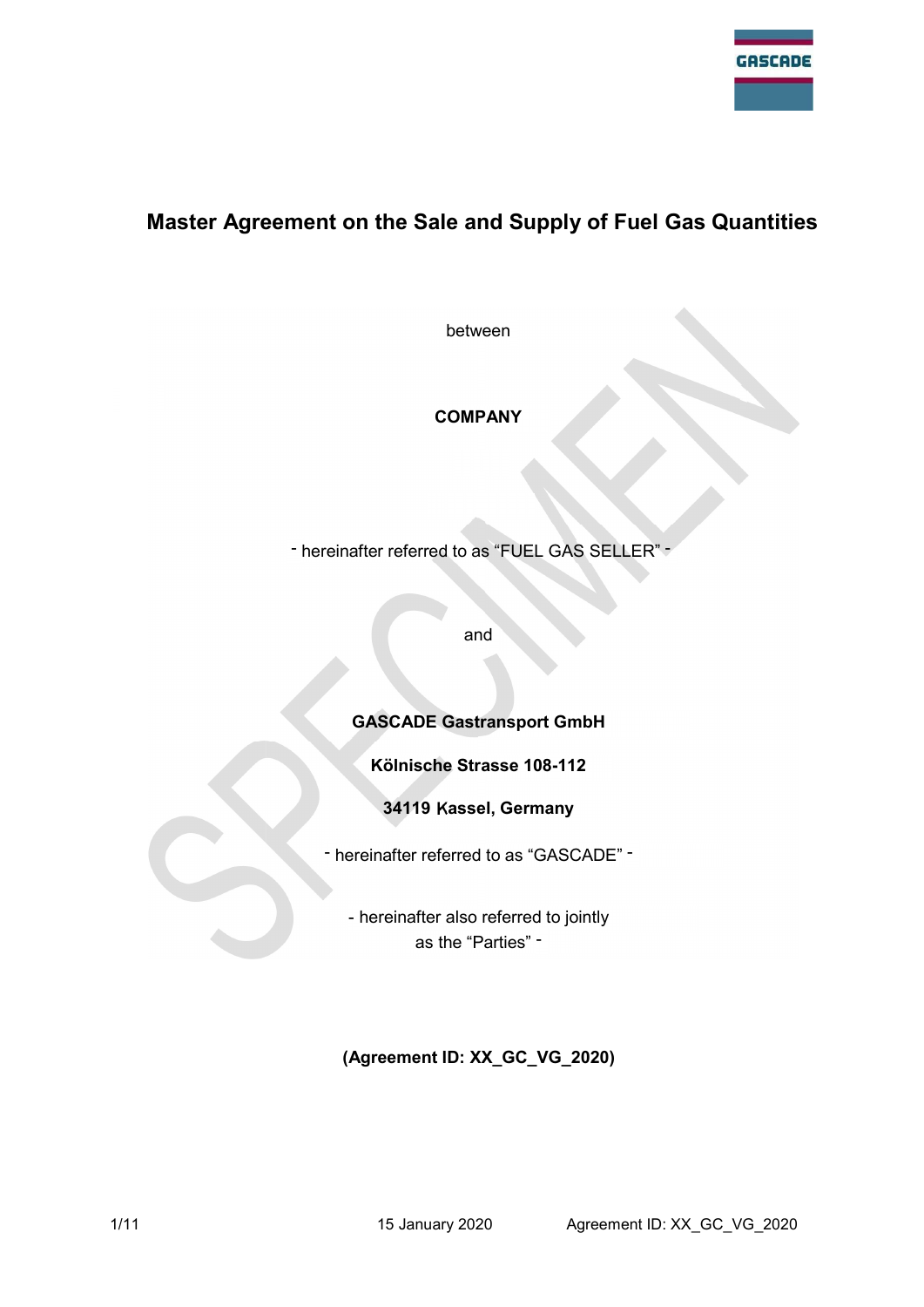

# Master Agreement on the Sale and Supply of Fuel Gas Quantities

between

# **COMPANY**

- hereinafter referred to as "FUEL GAS SELLER" -

and

# GASCADE Gastransport GmbH

# Kölnische Strasse 108-112

# 34119 Kassel, Germany

- hereinafter referred to as "GASCADE" -

- hereinafter also referred to jointly as the "Parties" -

# (Agreement ID: XX\_GC\_VG\_2020)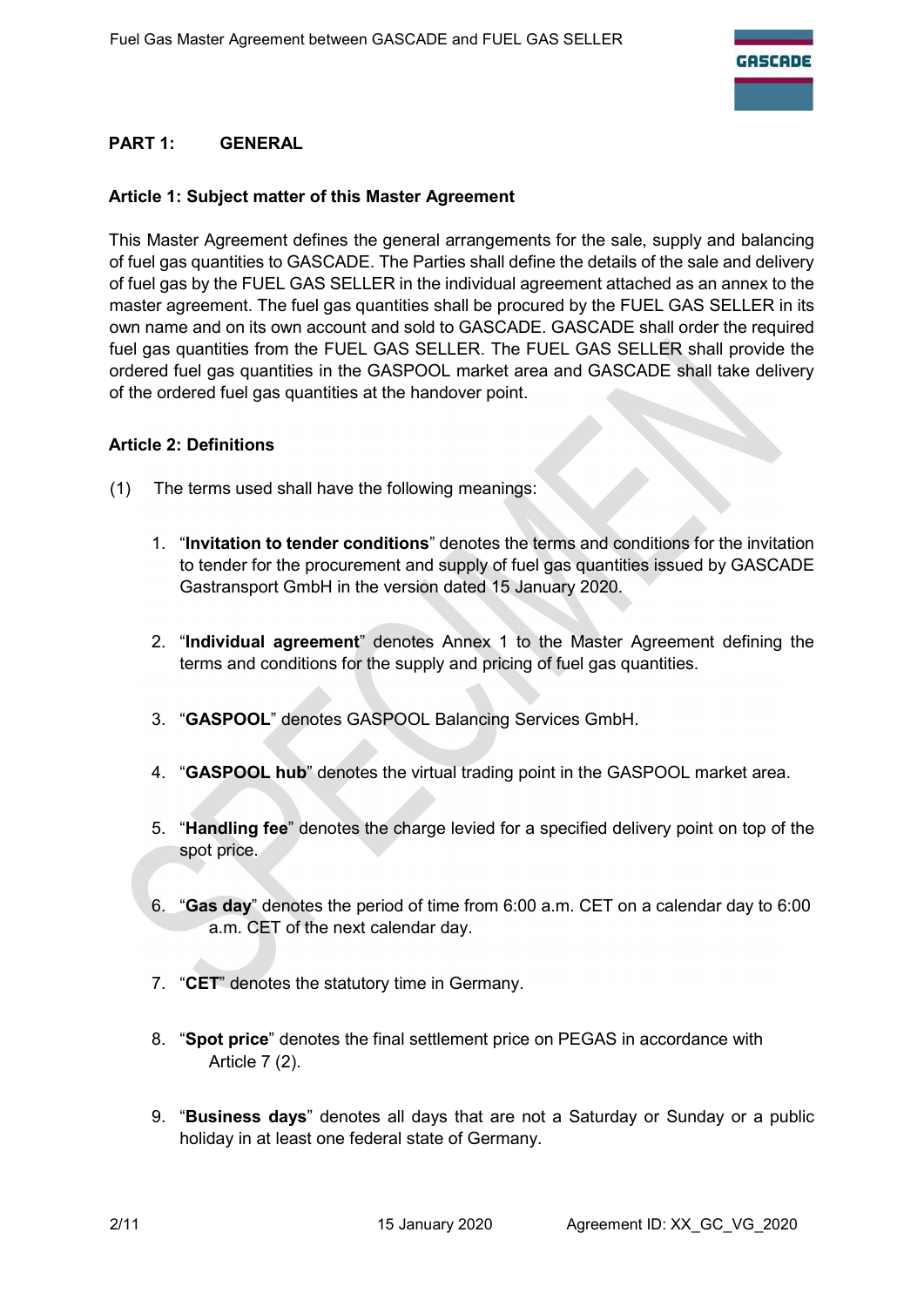# PART 1: GENERAL

#### Article 1: Subject matter of this Master Agreement

This Master Agreement defines the general arrangements for the sale, supply and balancing of fuel gas quantities to GASCADE. The Parties shall define the details of the sale and delivery of fuel gas by the FUEL GAS SELLER in the individual agreement attached as an annex to the master agreement. The fuel gas quantities shall be procured by the FUEL GAS SELLER in its own name and on its own account and sold to GASCADE. GASCADE shall order the required fuel gas quantities from the FUEL GAS SELLER. The FUEL GAS SELLER shall provide the ordered fuel gas quantities in the GASPOOL market area and GASCADE shall take delivery of the ordered fuel gas quantities at the handover point.

#### Article 2: Definitions

- (1) The terms used shall have the following meanings:
	- 1. "Invitation to tender conditions" denotes the terms and conditions for the invitation to tender for the procurement and supply of fuel gas quantities issued by GASCADE Gastransport GmbH in the version dated 15 January 2020.
	- 2. "Individual agreement" denotes Annex 1 to the Master Agreement defining the terms and conditions for the supply and pricing of fuel gas quantities.
	- 3. "GASPOOL" denotes GASPOOL Balancing Services GmbH.
	- 4. "GASPOOL hub" denotes the virtual trading point in the GASPOOL market area.
	- 5. "Handling fee" denotes the charge levied for a specified delivery point on top of the spot price.
	- 6. "Gas day" denotes the period of time from 6:00 a.m. CET on a calendar day to 6:00 a.m. CET of the next calendar day.
	- 7. "CET" denotes the statutory time in Germany.
	- 8. "Spot price" denotes the final settlement price on PEGAS in accordance with Article 7 (2).
	- 9. "Business days" denotes all days that are not a Saturday or Sunday or a public holiday in at least one federal state of Germany.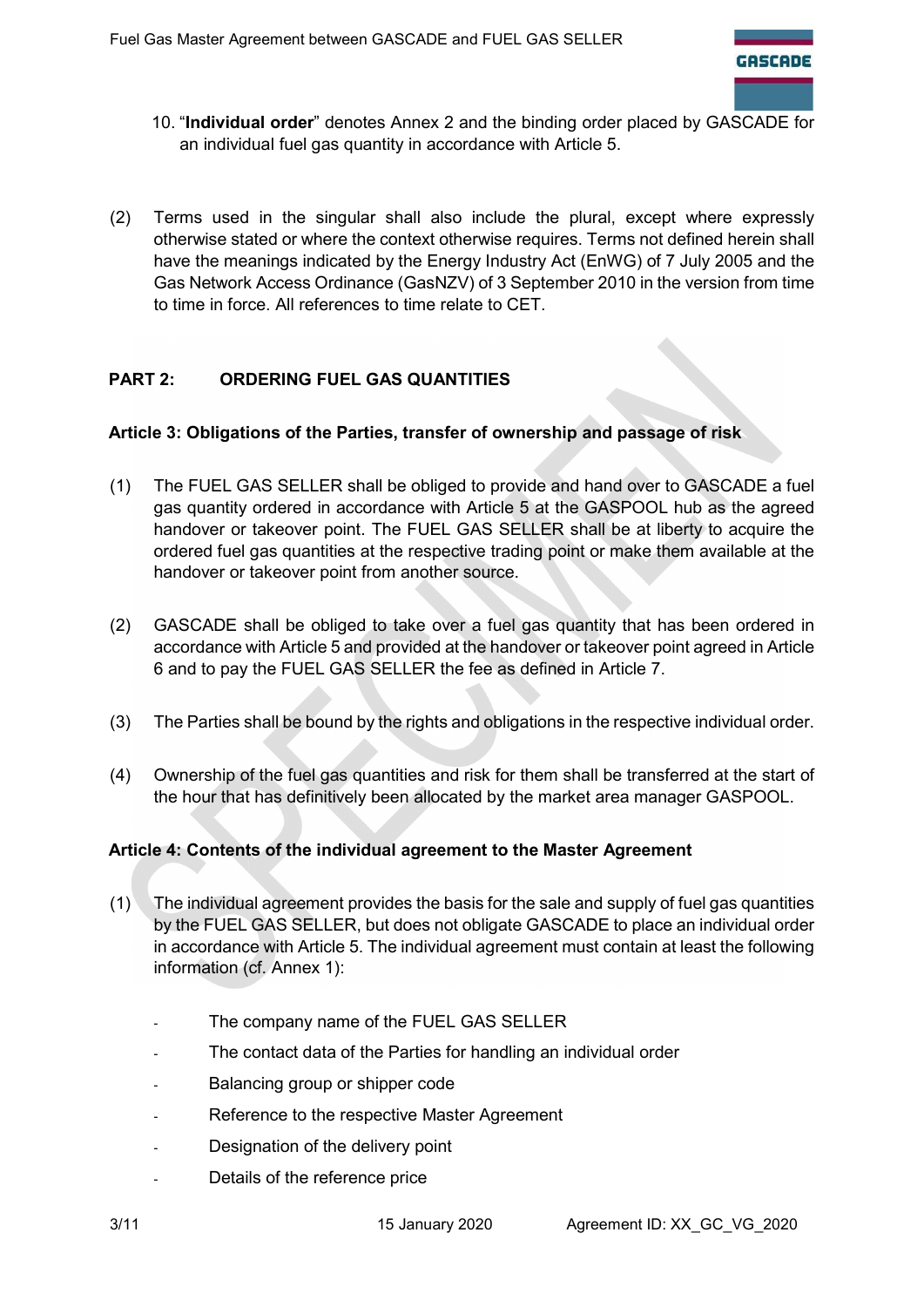

- 10. "Individual order" denotes Annex 2 and the binding order placed by GASCADE for an individual fuel gas quantity in accordance with Article 5.
- (2) Terms used in the singular shall also include the plural, except where expressly otherwise stated or where the context otherwise requires. Terms not defined herein shall have the meanings indicated by the Energy Industry Act (EnWG) of 7 July 2005 and the Gas Network Access Ordinance (GasNZV) of 3 September 2010 in the version from time to time in force. All references to time relate to CET.

# PART 2: ORDERING FUEL GAS QUANTITIES

#### Article 3: Obligations of the Parties, transfer of ownership and passage of risk

- (1) The FUEL GAS SELLER shall be obliged to provide and hand over to GASCADE a fuel gas quantity ordered in accordance with Article 5 at the GASPOOL hub as the agreed handover or takeover point. The FUEL GAS SELLER shall be at liberty to acquire the ordered fuel gas quantities at the respective trading point or make them available at the handover or takeover point from another source.
- (2) GASCADE shall be obliged to take over a fuel gas quantity that has been ordered in accordance with Article 5 and provided at the handover or takeover point agreed in Article 6 and to pay the FUEL GAS SELLER the fee as defined in Article 7.
- (3) The Parties shall be bound by the rights and obligations in the respective individual order.
- (4) Ownership of the fuel gas quantities and risk for them shall be transferred at the start of the hour that has definitively been allocated by the market area manager GASPOOL.

#### Article 4: Contents of the individual agreement to the Master Agreement

- (1) The individual agreement provides the basis for the sale and supply of fuel gas quantities by the FUEL GAS SELLER, but does not obligate GASCADE to place an individual order in accordance with Article 5. The individual agreement must contain at least the following information (cf. Annex 1):
	- The company name of the FUEL GAS SELLER
	- The contact data of the Parties for handling an individual order
	- Balancing group or shipper code
	- Reference to the respective Master Agreement
	- Designation of the delivery point
	- Details of the reference price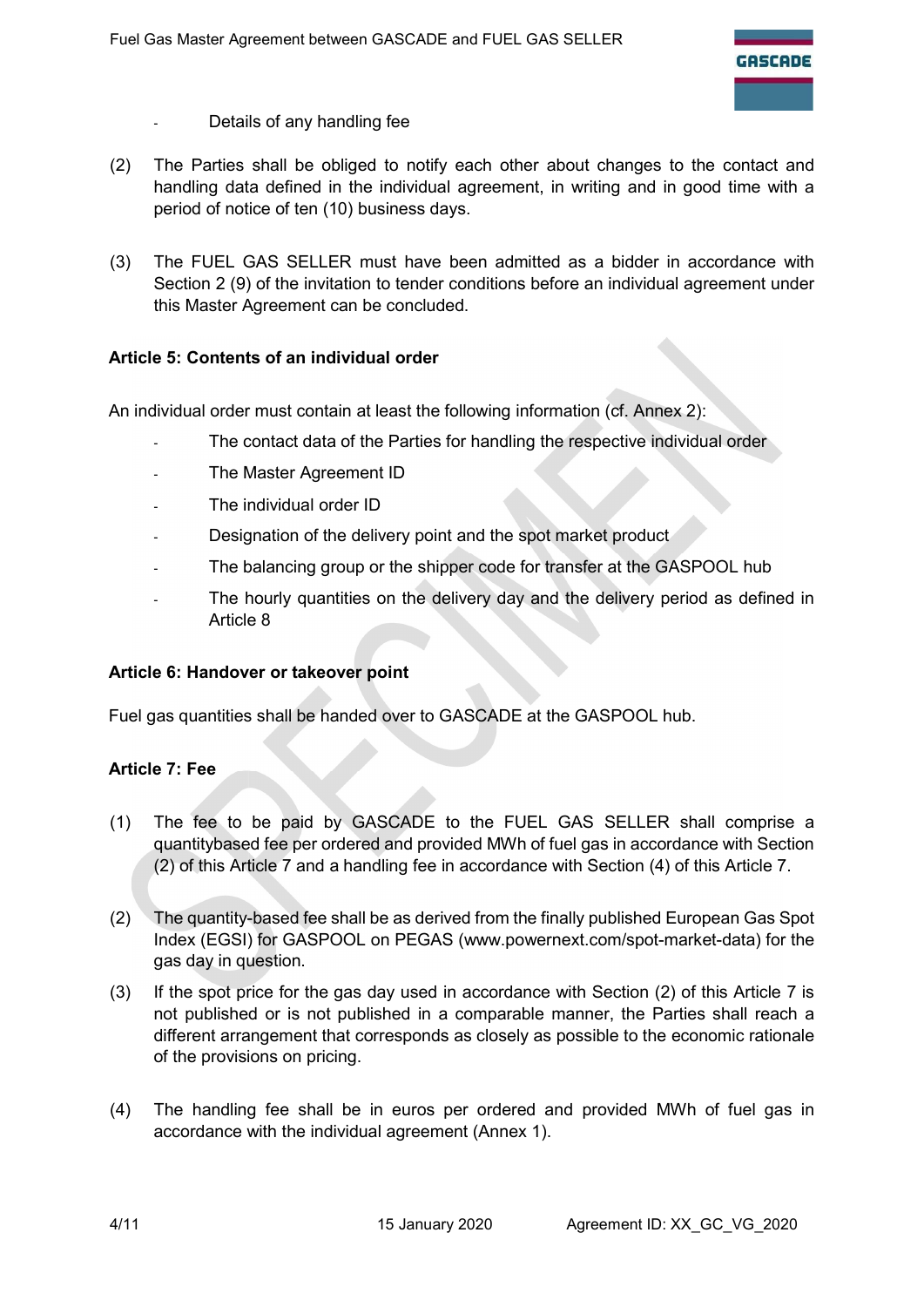- Details of any handling fee
- (2) The Parties shall be obliged to notify each other about changes to the contact and handling data defined in the individual agreement, in writing and in good time with a period of notice of ten (10) business days.
- (3) The FUEL GAS SELLER must have been admitted as a bidder in accordance with Section 2 (9) of the invitation to tender conditions before an individual agreement under this Master Agreement can be concluded.

## Article 5: Contents of an individual order

An individual order must contain at least the following information (cf. Annex 2):

- The contact data of the Parties for handling the respective individual order
- The Master Agreement ID
- The individual order ID
- Designation of the delivery point and the spot market product
- The balancing group or the shipper code for transfer at the GASPOOL hub
- The hourly quantities on the delivery day and the delivery period as defined in Article 8

#### Article 6: Handover or takeover point

Fuel gas quantities shall be handed over to GASCADE at the GASPOOL hub.

#### Article 7: Fee

- (1) The fee to be paid by GASCADE to the FUEL GAS SELLER shall comprise a quantitybased fee per ordered and provided MWh of fuel gas in accordance with Section (2) of this Article 7 and a handling fee in accordance with Section (4) of this Article 7.
- (2) The quantity-based fee shall be as derived from the finally published European Gas Spot Index (EGSI) for GASPOOL on PEGAS (www.powernext.com/spot-market-data) for the gas day in question.
- (3) If the spot price for the gas day used in accordance with Section (2) of this Article 7 is not published or is not published in a comparable manner, the Parties shall reach a different arrangement that corresponds as closely as possible to the economic rationale of the provisions on pricing.
- (4) The handling fee shall be in euros per ordered and provided MWh of fuel gas in accordance with the individual agreement (Annex 1).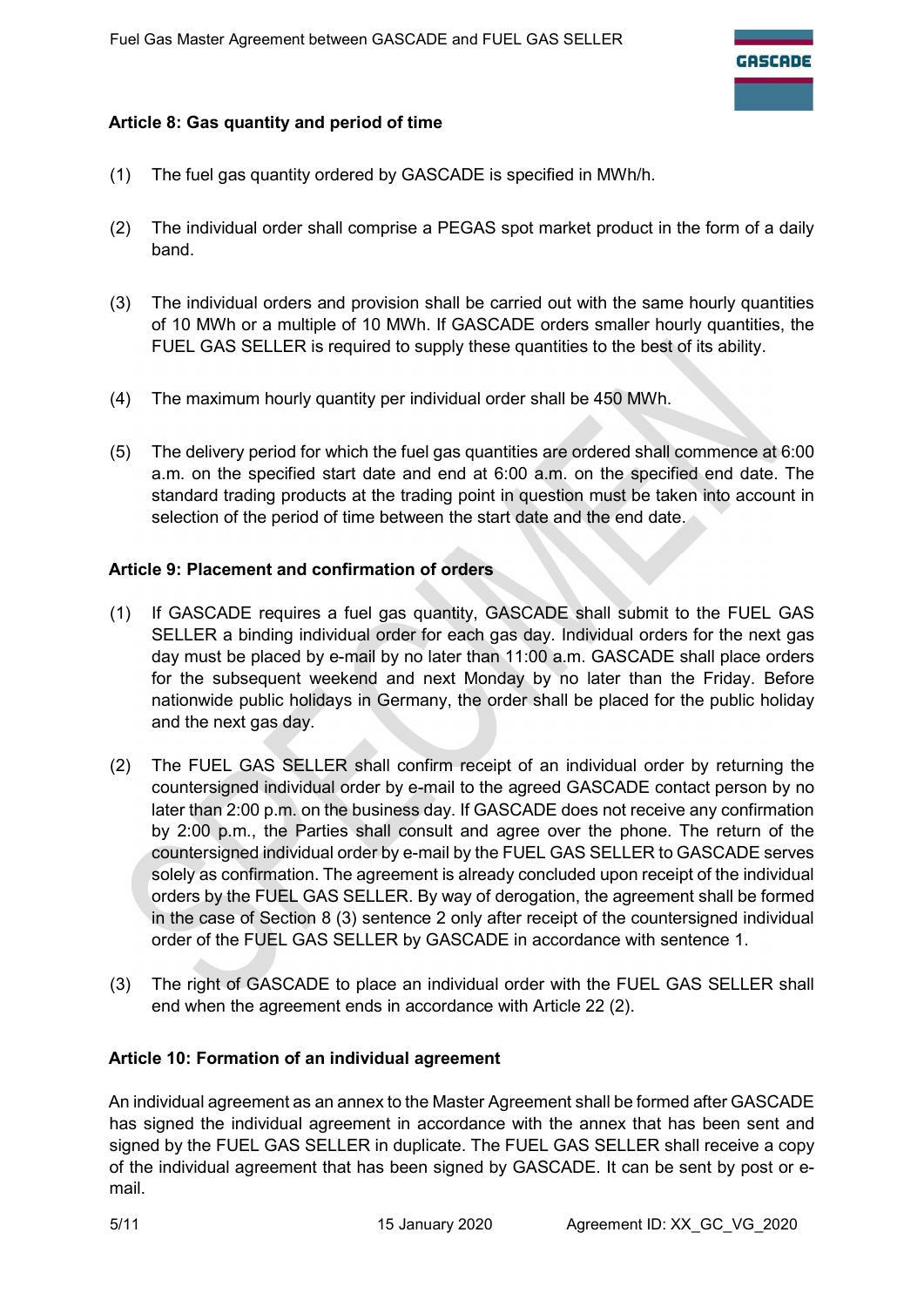## Article 8: Gas quantity and period of time

- (1) The fuel gas quantity ordered by GASCADE is specified in MWh/h.
- (2) The individual order shall comprise a PEGAS spot market product in the form of a daily band.
- (3) The individual orders and provision shall be carried out with the same hourly quantities of 10 MWh or a multiple of 10 MWh. If GASCADE orders smaller hourly quantities, the FUEL GAS SELLER is required to supply these quantities to the best of its ability.
- (4) The maximum hourly quantity per individual order shall be 450 MWh.
- (5) The delivery period for which the fuel gas quantities are ordered shall commence at 6:00 a.m. on the specified start date and end at 6:00 a.m. on the specified end date. The standard trading products at the trading point in question must be taken into account in selection of the period of time between the start date and the end date.

## Article 9: Placement and confirmation of orders

- (1) If GASCADE requires a fuel gas quantity, GASCADE shall submit to the FUEL GAS SELLER a binding individual order for each gas day. Individual orders for the next gas day must be placed by e-mail by no later than 11:00 a.m. GASCADE shall place orders for the subsequent weekend and next Monday by no later than the Friday. Before nationwide public holidays in Germany, the order shall be placed for the public holiday and the next gas day.
- (2) The FUEL GAS SELLER shall confirm receipt of an individual order by returning the countersigned individual order by e-mail to the agreed GASCADE contact person by no later than 2:00 p.m. on the business day. If GASCADE does not receive any confirmation by 2:00 p.m., the Parties shall consult and agree over the phone. The return of the countersigned individual order by e-mail by the FUEL GAS SELLER to GASCADE serves solely as confirmation. The agreement is already concluded upon receipt of the individual orders by the FUEL GAS SELLER. By way of derogation, the agreement shall be formed in the case of Section 8 (3) sentence 2 only after receipt of the countersigned individual order of the FUEL GAS SELLER by GASCADE in accordance with sentence 1.
- (3) The right of GASCADE to place an individual order with the FUEL GAS SELLER shall end when the agreement ends in accordance with Article 22 (2).

#### Article 10: Formation of an individual agreement

An individual agreement as an annex to the Master Agreement shall be formed after GASCADE has signed the individual agreement in accordance with the annex that has been sent and signed by the FUEL GAS SELLER in duplicate. The FUEL GAS SELLER shall receive a copy of the individual agreement that has been signed by GASCADE. It can be sent by post or email.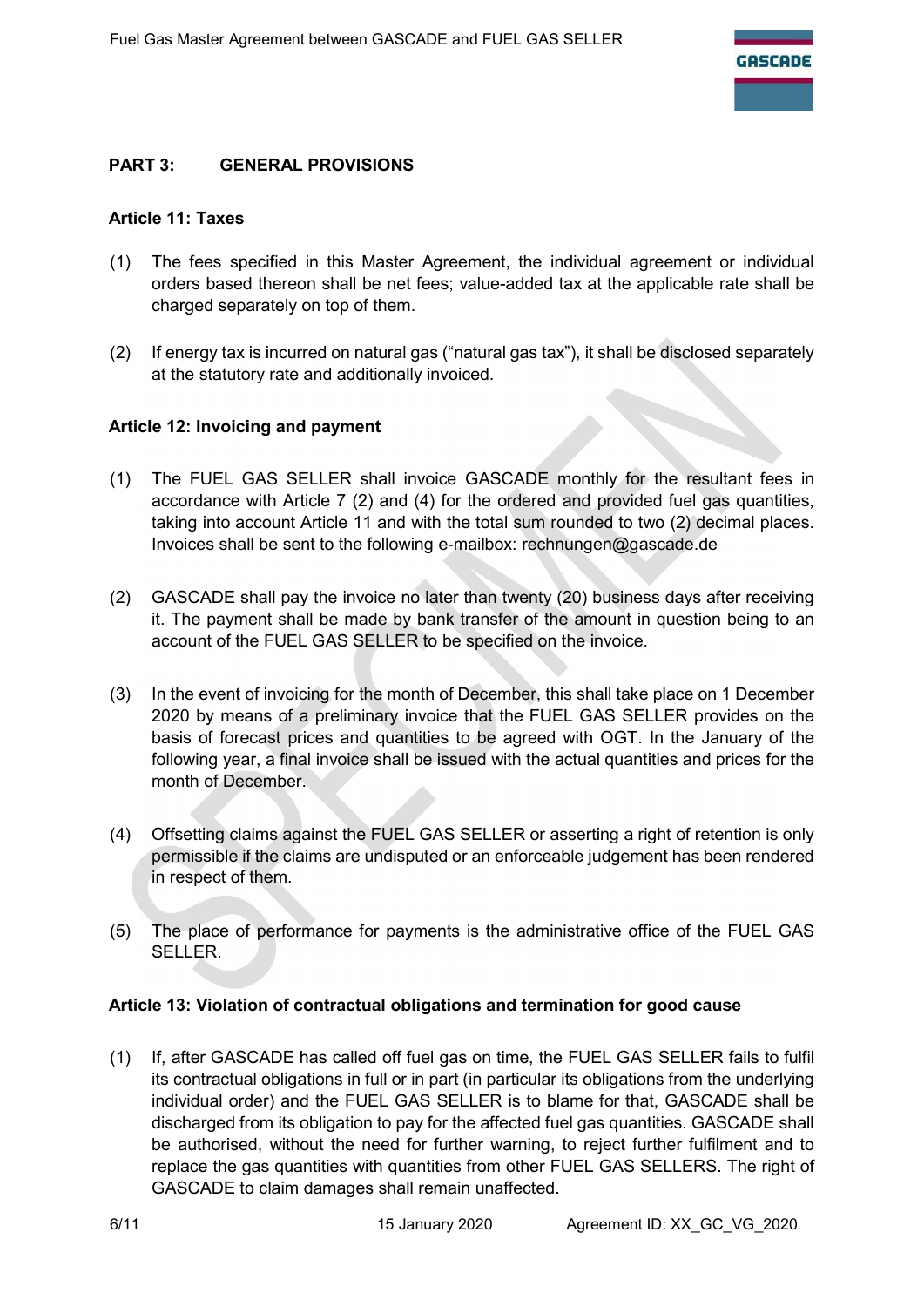# PART 3: GENERAL PROVISIONS

#### Article 11: Taxes

- (1) The fees specified in this Master Agreement, the individual agreement or individual orders based thereon shall be net fees; value-added tax at the applicable rate shall be charged separately on top of them.
- (2) If energy tax is incurred on natural gas ("natural gas tax"), it shall be disclosed separately at the statutory rate and additionally invoiced.

## Article 12: Invoicing and payment

- (1) The FUEL GAS SELLER shall invoice GASCADE monthly for the resultant fees in accordance with Article 7 (2) and (4) for the ordered and provided fuel gas quantities, taking into account Article 11 and with the total sum rounded to two (2) decimal places. Invoices shall be sent to the following e-mailbox: rechnungen@gascade.de
- (2) GASCADE shall pay the invoice no later than twenty (20) business days after receiving it. The payment shall be made by bank transfer of the amount in question being to an account of the FUEL GAS SELLER to be specified on the invoice.
- (3) In the event of invoicing for the month of December, this shall take place on 1 December 2020 by means of a preliminary invoice that the FUEL GAS SELLER provides on the basis of forecast prices and quantities to be agreed with OGT. In the January of the following year, a final invoice shall be issued with the actual quantities and prices for the month of December.
- (4) Offsetting claims against the FUEL GAS SELLER or asserting a right of retention is only permissible if the claims are undisputed or an enforceable judgement has been rendered in respect of them.
- (5) The place of performance for payments is the administrative office of the FUEL GAS SELLER.

#### Article 13: Violation of contractual obligations and termination for good cause

(1) If, after GASCADE has called off fuel gas on time, the FUEL GAS SELLER fails to fulfil its contractual obligations in full or in part (in particular its obligations from the underlying individual order) and the FUEL GAS SELLER is to blame for that, GASCADE shall be discharged from its obligation to pay for the affected fuel gas quantities. GASCADE shall be authorised, without the need for further warning, to reject further fulfilment and to replace the gas quantities with quantities from other FUEL GAS SELLERS. The right of GASCADE to claim damages shall remain unaffected.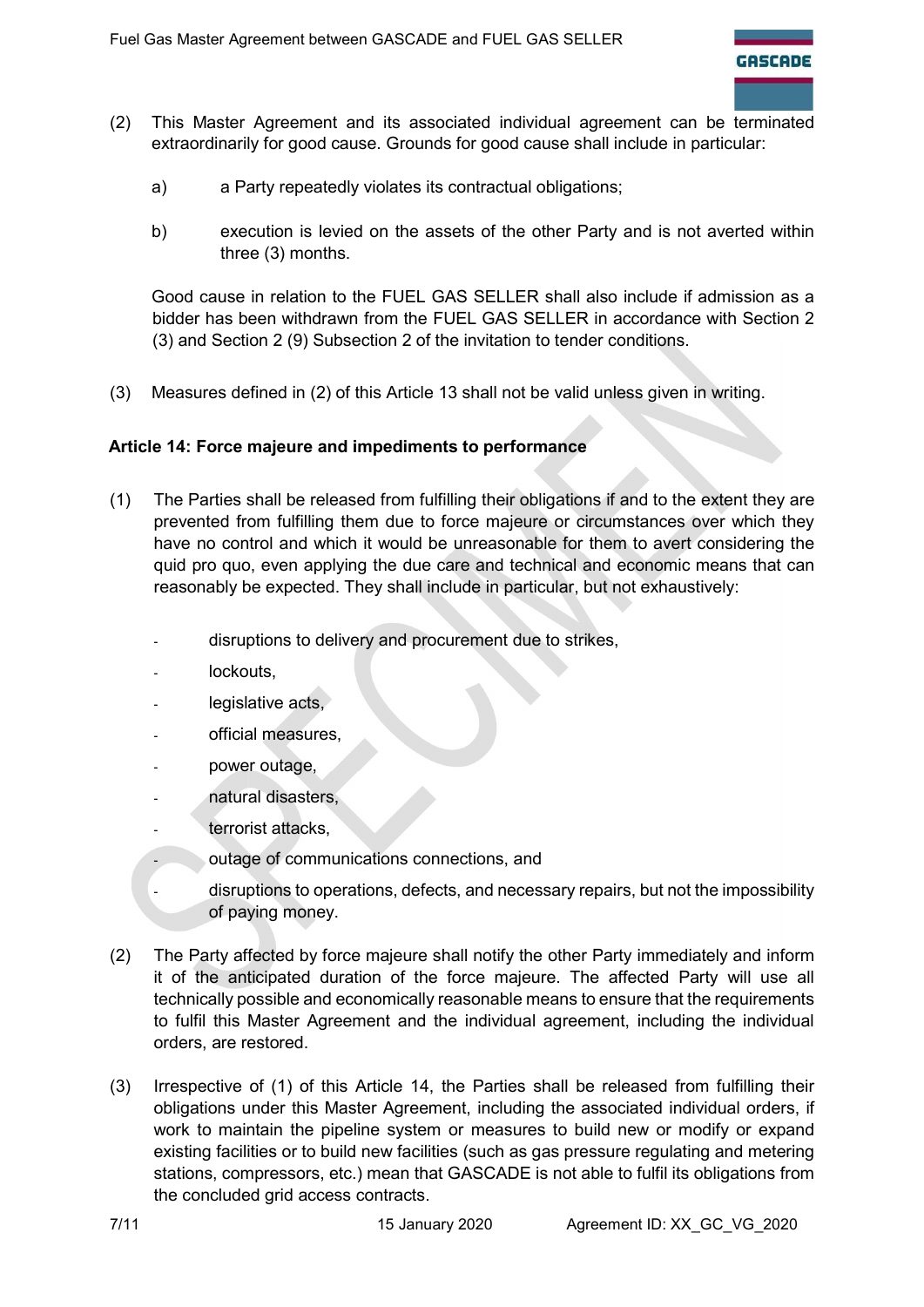- (2) This Master Agreement and its associated individual agreement can be terminated extraordinarily for good cause. Grounds for good cause shall include in particular:
	- a) a Party repeatedly violates its contractual obligations;
	- b) execution is levied on the assets of the other Party and is not averted within three (3) months.

Good cause in relation to the FUEL GAS SELLER shall also include if admission as a bidder has been withdrawn from the FUEL GAS SELLER in accordance with Section 2 (3) and Section 2 (9) Subsection 2 of the invitation to tender conditions.

(3) Measures defined in (2) of this Article 13 shall not be valid unless given in writing.

## Article 14: Force majeure and impediments to performance

- (1) The Parties shall be released from fulfilling their obligations if and to the extent they are prevented from fulfilling them due to force majeure or circumstances over which they have no control and which it would be unreasonable for them to avert considering the quid pro quo, even applying the due care and technical and economic means that can reasonably be expected. They shall include in particular, but not exhaustively:
	- disruptions to delivery and procurement due to strikes,
	- lockouts,
	- legislative acts,
	- official measures,
	- power outage,
	- natural disasters.
	- terrorist attacks,
	- outage of communications connections, and
	- disruptions to operations, defects, and necessary repairs, but not the impossibility of paying money.
- (2) The Party affected by force majeure shall notify the other Party immediately and inform it of the anticipated duration of the force majeure. The affected Party will use all technically possible and economically reasonable means to ensure that the requirements to fulfil this Master Agreement and the individual agreement, including the individual orders, are restored.
- (3) Irrespective of (1) of this Article 14, the Parties shall be released from fulfilling their obligations under this Master Agreement, including the associated individual orders, if work to maintain the pipeline system or measures to build new or modify or expand existing facilities or to build new facilities (such as gas pressure regulating and metering stations, compressors, etc.) mean that GASCADE is not able to fulfil its obligations from the concluded grid access contracts.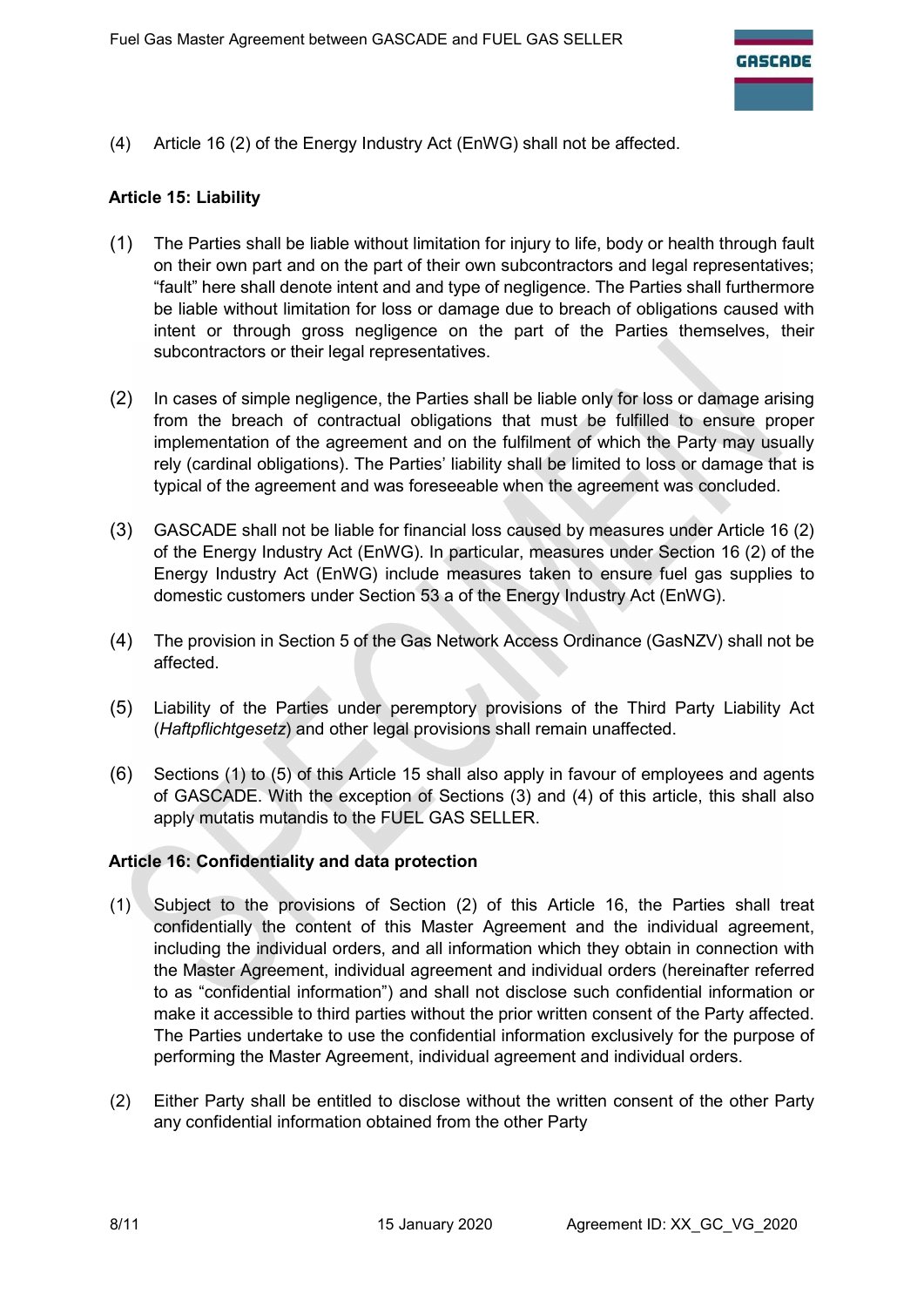(4) Article 16 (2) of the Energy Industry Act (EnWG) shall not be affected.

# Article 15: Liability

- (1) The Parties shall be liable without limitation for injury to life, body or health through fault on their own part and on the part of their own subcontractors and legal representatives; "fault" here shall denote intent and and type of negligence. The Parties shall furthermore be liable without limitation for loss or damage due to breach of obligations caused with intent or through gross negligence on the part of the Parties themselves, their subcontractors or their legal representatives.
- (2) In cases of simple negligence, the Parties shall be liable only for loss or damage arising from the breach of contractual obligations that must be fulfilled to ensure proper implementation of the agreement and on the fulfilment of which the Party may usually rely (cardinal obligations). The Parties' liability shall be limited to loss or damage that is typical of the agreement and was foreseeable when the agreement was concluded.
- (3) GASCADE shall not be liable for financial loss caused by measures under Article 16 (2) of the Energy Industry Act (EnWG). In particular, measures under Section 16 (2) of the Energy Industry Act (EnWG) include measures taken to ensure fuel gas supplies to domestic customers under Section 53 a of the Energy Industry Act (EnWG).
- (4) The provision in Section 5 of the Gas Network Access Ordinance (GasNZV) shall not be affected.
- (5) Liability of the Parties under peremptory provisions of the Third Party Liability Act (Haftpflichtgesetz) and other legal provisions shall remain unaffected.
- (6) Sections (1) to (5) of this Article 15 shall also apply in favour of employees and agents of GASCADE. With the exception of Sections (3) and (4) of this article, this shall also apply mutatis mutandis to the FUEL GAS SELLER.

#### Article 16: Confidentiality and data protection

- (1) Subject to the provisions of Section (2) of this Article 16, the Parties shall treat confidentially the content of this Master Agreement and the individual agreement, including the individual orders, and all information which they obtain in connection with the Master Agreement, individual agreement and individual orders (hereinafter referred to as "confidential information") and shall not disclose such confidential information or make it accessible to third parties without the prior written consent of the Party affected. The Parties undertake to use the confidential information exclusively for the purpose of performing the Master Agreement, individual agreement and individual orders.
- (2) Either Party shall be entitled to disclose without the written consent of the other Party any confidential information obtained from the other Party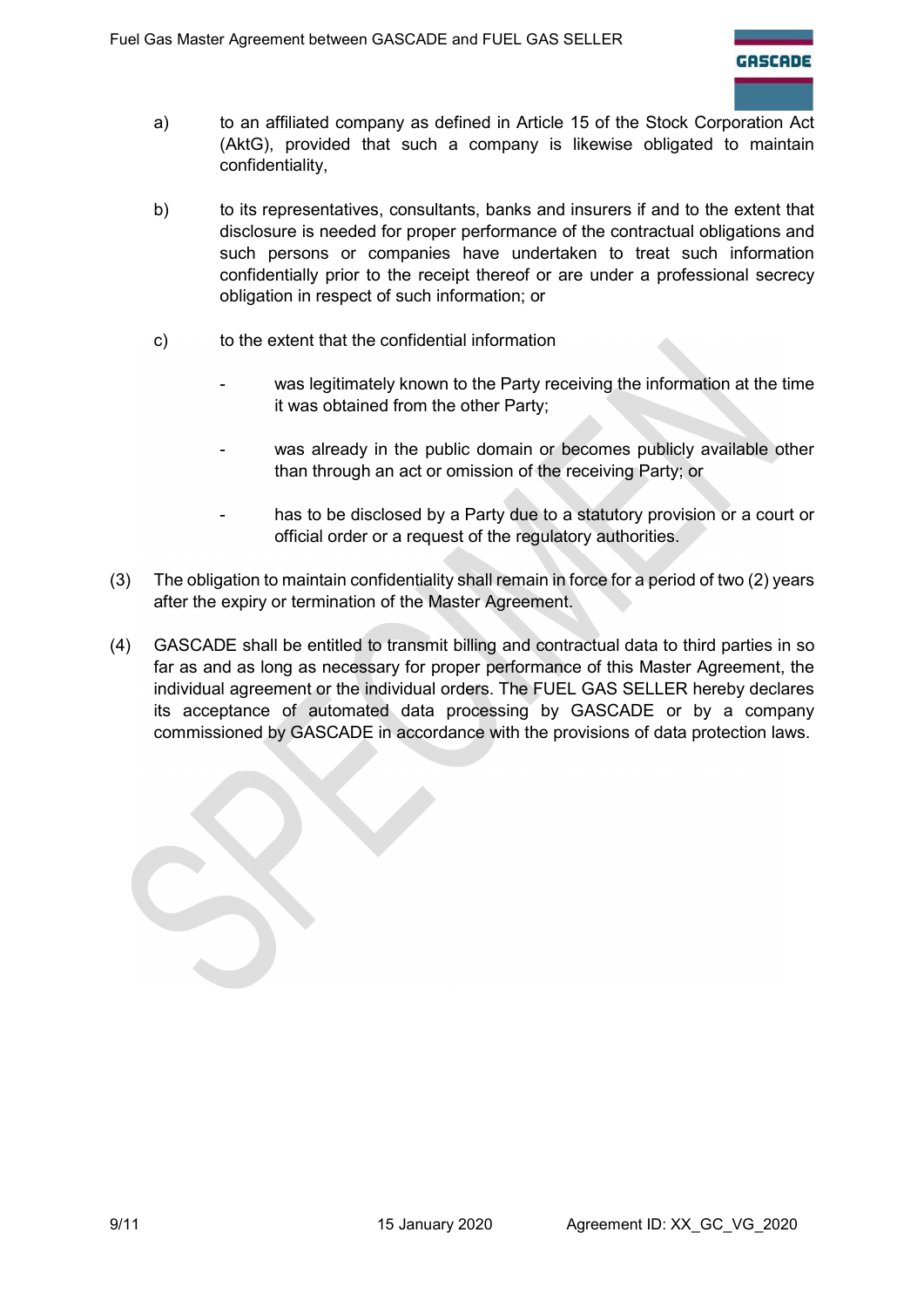- a) to an affiliated company as defined in Article 15 of the Stock Corporation Act (AktG), provided that such a company is likewise obligated to maintain confidentiality,
- b) to its representatives, consultants, banks and insurers if and to the extent that disclosure is needed for proper performance of the contractual obligations and such persons or companies have undertaken to treat such information confidentially prior to the receipt thereof or are under a professional secrecy obligation in respect of such information; or
- c) to the extent that the confidential information
	- was legitimately known to the Party receiving the information at the time it was obtained from the other Party;
	- was already in the public domain or becomes publicly available other than through an act or omission of the receiving Party; or
	- has to be disclosed by a Party due to a statutory provision or a court or official order or a request of the regulatory authorities.
- (3) The obligation to maintain confidentiality shall remain in force for a period of two (2) years after the expiry or termination of the Master Agreement.
- (4) GASCADE shall be entitled to transmit billing and contractual data to third parties in so far as and as long as necessary for proper performance of this Master Agreement, the individual agreement or the individual orders. The FUEL GAS SELLER hereby declares its acceptance of automated data processing by GASCADE or by a company commissioned by GASCADE in accordance with the provisions of data protection laws.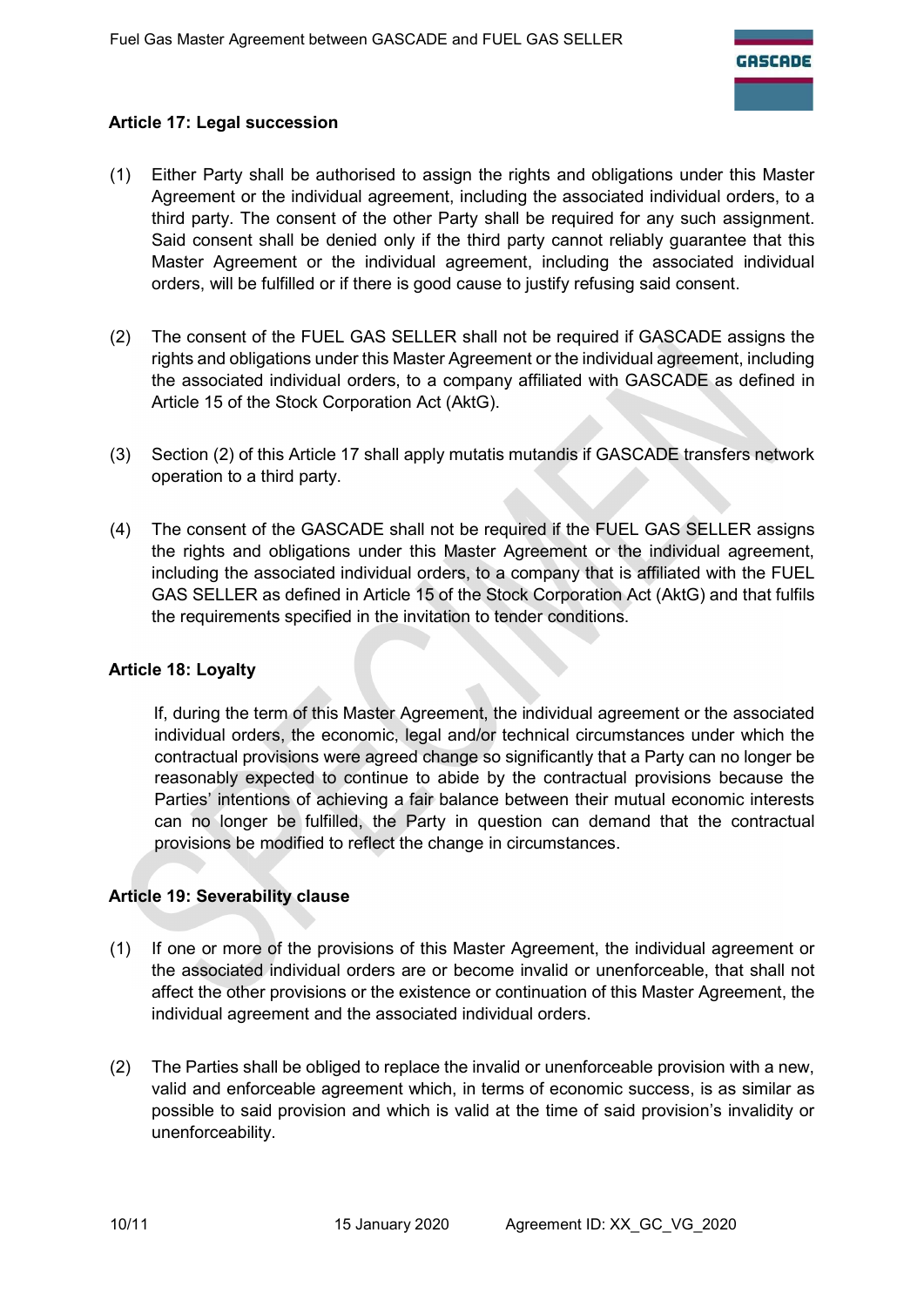# Article 17: Legal succession

- (1) Either Party shall be authorised to assign the rights and obligations under this Master Agreement or the individual agreement, including the associated individual orders, to a third party. The consent of the other Party shall be required for any such assignment. Said consent shall be denied only if the third party cannot reliably guarantee that this Master Agreement or the individual agreement, including the associated individual orders, will be fulfilled or if there is good cause to justify refusing said consent.
- (2) The consent of the FUEL GAS SELLER shall not be required if GASCADE assigns the rights and obligations under this Master Agreement or the individual agreement, including the associated individual orders, to a company affiliated with GASCADE as defined in Article 15 of the Stock Corporation Act (AktG).
- (3) Section (2) of this Article 17 shall apply mutatis mutandis if GASCADE transfers network operation to a third party.
- (4) The consent of the GASCADE shall not be required if the FUEL GAS SELLER assigns the rights and obligations under this Master Agreement or the individual agreement, including the associated individual orders, to a company that is affiliated with the FUEL GAS SELLER as defined in Article 15 of the Stock Corporation Act (AktG) and that fulfils the requirements specified in the invitation to tender conditions.

#### Article 18: Loyalty

If, during the term of this Master Agreement, the individual agreement or the associated individual orders, the economic, legal and/or technical circumstances under which the contractual provisions were agreed change so significantly that a Party can no longer be reasonably expected to continue to abide by the contractual provisions because the Parties' intentions of achieving a fair balance between their mutual economic interests can no longer be fulfilled, the Party in question can demand that the contractual provisions be modified to reflect the change in circumstances.

# Article 19: Severability clause

- (1) If one or more of the provisions of this Master Agreement, the individual agreement or the associated individual orders are or become invalid or unenforceable, that shall not affect the other provisions or the existence or continuation of this Master Agreement, the individual agreement and the associated individual orders.
- (2) The Parties shall be obliged to replace the invalid or unenforceable provision with a new, valid and enforceable agreement which, in terms of economic success, is as similar as possible to said provision and which is valid at the time of said provision's invalidity or unenforceability.